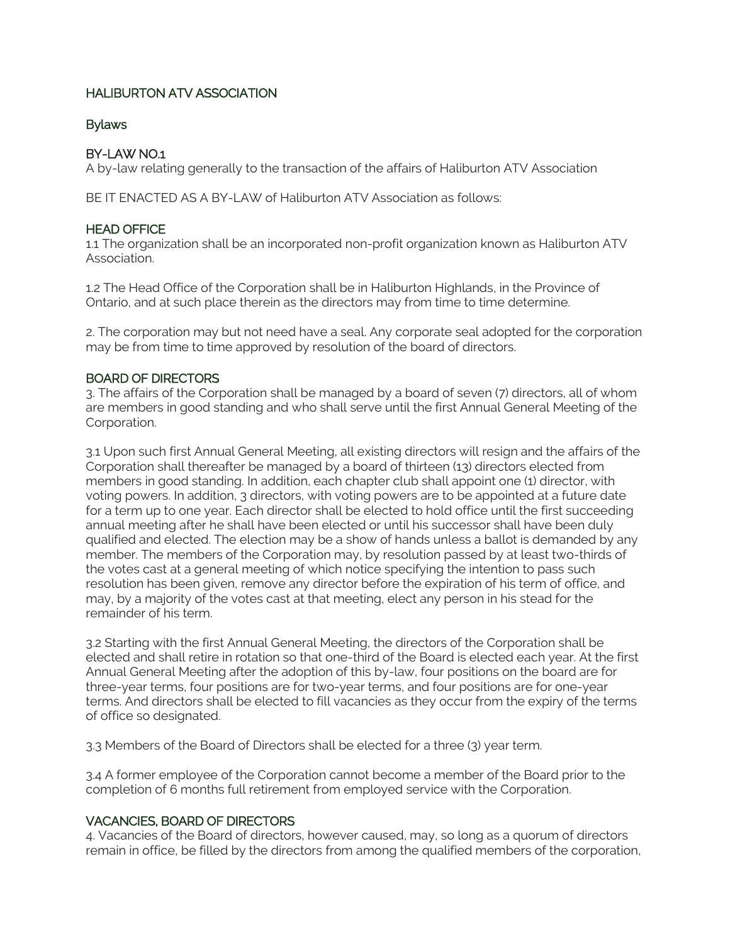# HALIBURTON ATV ASSOCIATION

## Bylaws

# BY-LAW NO.1

A by-law relating generally to the transaction of the affairs of Haliburton ATV Association

BE IT ENACTED AS A BY-LAW of Haliburton ATV Association as follows:

# HEAD OFFICE

1.1 The organization shall be an incorporated non-profit organization known as Haliburton ATV Association.

1.2 The Head Office of the Corporation shall be in Haliburton Highlands, in the Province of Ontario, and at such place therein as the directors may from time to time determine.

2. The corporation may but not need have a seal. Any corporate seal adopted for the corporation may be from time to time approved by resolution of the board of directors.

#### BOARD OF DIRECTORS

3. The affairs of the Corporation shall be managed by a board of seven (7) directors, all of whom are members in good standing and who shall serve until the first Annual General Meeting of the Corporation.

3.1 Upon such first Annual General Meeting, all existing directors will resign and the affairs of the Corporation shall thereafter be managed by a board of thirteen (13) directors elected from members in good standing. In addition, each chapter club shall appoint one (1) director, with voting powers. In addition, 3 directors, with voting powers are to be appointed at a future date for a term up to one year. Each director shall be elected to hold office until the first succeeding annual meeting after he shall have been elected or until his successor shall have been duly qualified and elected. The election may be a show of hands unless a ballot is demanded by any member. The members of the Corporation may, by resolution passed by at least two-thirds of the votes cast at a general meeting of which notice specifying the intention to pass such resolution has been given, remove any director before the expiration of his term of office, and may, by a majority of the votes cast at that meeting, elect any person in his stead for the remainder of his term.

3.2 Starting with the first Annual General Meeting, the directors of the Corporation shall be elected and shall retire in rotation so that one-third of the Board is elected each year. At the first Annual General Meeting after the adoption of this by-law, four positions on the board are for three-year terms, four positions are for two-year terms, and four positions are for one-year terms. And directors shall be elected to fill vacancies as they occur from the expiry of the terms of office so designated.

3.3 Members of the Board of Directors shall be elected for a three (3) year term.

3.4 A former employee of the Corporation cannot become a member of the Board prior to the completion of 6 months full retirement from employed service with the Corporation.

# VACANCIES, BOARD OF DIRECTORS

4. Vacancies of the Board of directors, however caused, may, so long as a quorum of directors remain in office, be filled by the directors from among the qualified members of the corporation,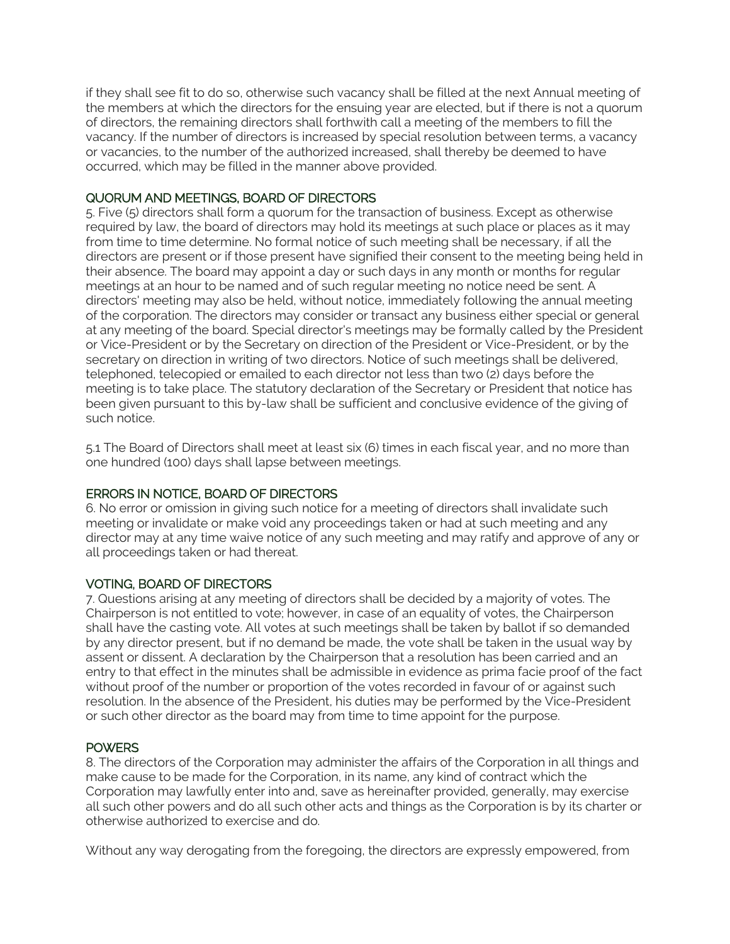if they shall see fit to do so, otherwise such vacancy shall be filled at the next Annual meeting of the members at which the directors for the ensuing year are elected, but if there is not a quorum of directors, the remaining directors shall forthwith call a meeting of the members to fill the vacancy. If the number of directors is increased by special resolution between terms, a vacancy or vacancies, to the number of the authorized increased, shall thereby be deemed to have occurred, which may be filled in the manner above provided.

# QUORUM AND MEETINGS, BOARD OF DIRECTORS

5. Five (5) directors shall form a quorum for the transaction of business. Except as otherwise required by law, the board of directors may hold its meetings at such place or places as it may from time to time determine. No formal notice of such meeting shall be necessary, if all the directors are present or if those present have signified their consent to the meeting being held in their absence. The board may appoint a day or such days in any month or months for regular meetings at an hour to be named and of such regular meeting no notice need be sent. A directors' meeting may also be held, without notice, immediately following the annual meeting of the corporation. The directors may consider or transact any business either special or general at any meeting of the board. Special director's meetings may be formally called by the President or Vice-President or by the Secretary on direction of the President or Vice-President, or by the secretary on direction in writing of two directors. Notice of such meetings shall be delivered, telephoned, telecopied or emailed to each director not less than two (2) days before the meeting is to take place. The statutory declaration of the Secretary or President that notice has been given pursuant to this by-law shall be sufficient and conclusive evidence of the giving of such notice.

5.1 The Board of Directors shall meet at least six (6) times in each fiscal year, and no more than one hundred (100) days shall lapse between meetings.

# ERRORS IN NOTICE, BOARD OF DIRECTORS

6. No error or omission in giving such notice for a meeting of directors shall invalidate such meeting or invalidate or make void any proceedings taken or had at such meeting and any director may at any time waive notice of any such meeting and may ratify and approve of any or all proceedings taken or had thereat.

# VOTING, BOARD OF DIRECTORS

7. Questions arising at any meeting of directors shall be decided by a majority of votes. The Chairperson is not entitled to vote; however, in case of an equality of votes, the Chairperson shall have the casting vote. All votes at such meetings shall be taken by ballot if so demanded by any director present, but if no demand be made, the vote shall be taken in the usual way by assent or dissent. A declaration by the Chairperson that a resolution has been carried and an entry to that effect in the minutes shall be admissible in evidence as prima facie proof of the fact without proof of the number or proportion of the votes recorded in favour of or against such resolution. In the absence of the President, his duties may be performed by the Vice-President or such other director as the board may from time to time appoint for the purpose.

# **POWERS**

8. The directors of the Corporation may administer the affairs of the Corporation in all things and make cause to be made for the Corporation, in its name, any kind of contract which the Corporation may lawfully enter into and, save as hereinafter provided, generally, may exercise all such other powers and do all such other acts and things as the Corporation is by its charter or otherwise authorized to exercise and do.

Without any way derogating from the foregoing, the directors are expressly empowered, from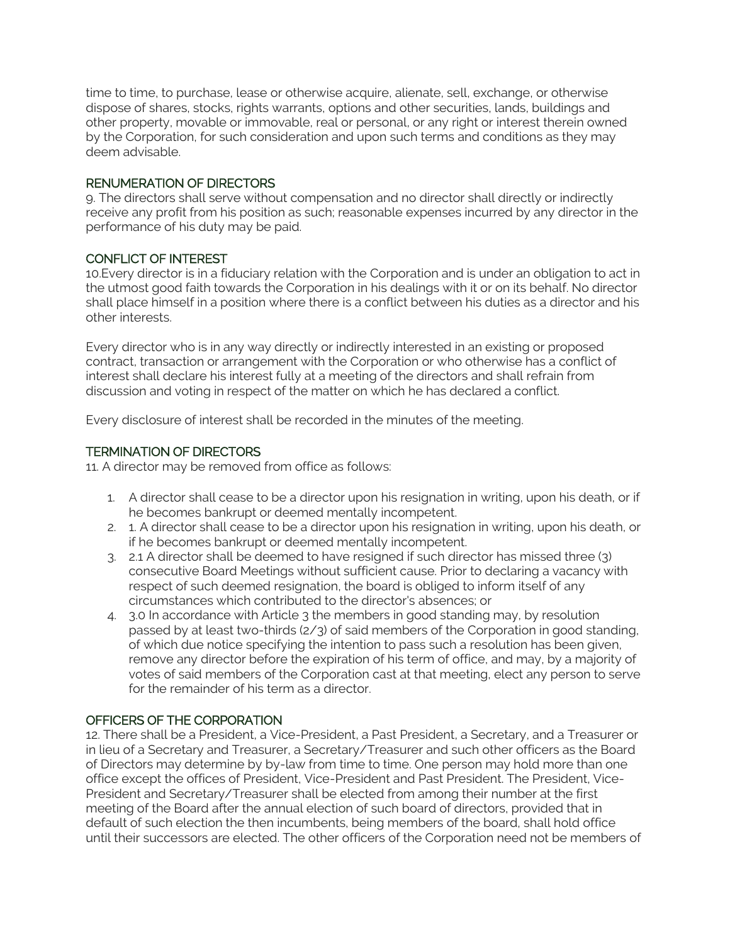time to time, to purchase, lease or otherwise acquire, alienate, sell, exchange, or otherwise dispose of shares, stocks, rights warrants, options and other securities, lands, buildings and other property, movable or immovable, real or personal, or any right or interest therein owned by the Corporation, for such consideration and upon such terms and conditions as they may deem advisable.

## RENUMERATION OF DIRECTORS

9. The directors shall serve without compensation and no director shall directly or indirectly receive any profit from his position as such; reasonable expenses incurred by any director in the performance of his duty may be paid.

# CONFLICT OF INTEREST

10.Every director is in a fiduciary relation with the Corporation and is under an obligation to act in the utmost good faith towards the Corporation in his dealings with it or on its behalf. No director shall place himself in a position where there is a conflict between his duties as a director and his other interests.

Every director who is in any way directly or indirectly interested in an existing or proposed contract, transaction or arrangement with the Corporation or who otherwise has a conflict of interest shall declare his interest fully at a meeting of the directors and shall refrain from discussion and voting in respect of the matter on which he has declared a conflict.

Every disclosure of interest shall be recorded in the minutes of the meeting.

# TERMINATION OF DIRECTORS

11. A director may be removed from office as follows:

- 1. A director shall cease to be a director upon his resignation in writing, upon his death, or if he becomes bankrupt or deemed mentally incompetent.
- 2. 1. A director shall cease to be a director upon his resignation in writing, upon his death, or if he becomes bankrupt or deemed mentally incompetent.
- 3. 2.1 A director shall be deemed to have resigned if such director has missed three (3) consecutive Board Meetings without sufficient cause. Prior to declaring a vacancy with respect of such deemed resignation, the board is obliged to inform itself of any circumstances which contributed to the director's absences; or
- 4. 3.0 In accordance with Article 3 the members in good standing may, by resolution passed by at least two-thirds (2/3) of said members of the Corporation in good standing, of which due notice specifying the intention to pass such a resolution has been given, remove any director before the expiration of his term of office, and may, by a majority of votes of said members of the Corporation cast at that meeting, elect any person to serve for the remainder of his term as a director.

# OFFICERS OF THE CORPORATION

12. There shall be a President, a Vice-President, a Past President, a Secretary, and a Treasurer or in lieu of a Secretary and Treasurer, a Secretary/Treasurer and such other officers as the Board of Directors may determine by by-law from time to time. One person may hold more than one office except the offices of President, Vice-President and Past President. The President, Vice-President and Secretary/Treasurer shall be elected from among their number at the first meeting of the Board after the annual election of such board of directors, provided that in default of such election the then incumbents, being members of the board, shall hold office until their successors are elected. The other officers of the Corporation need not be members of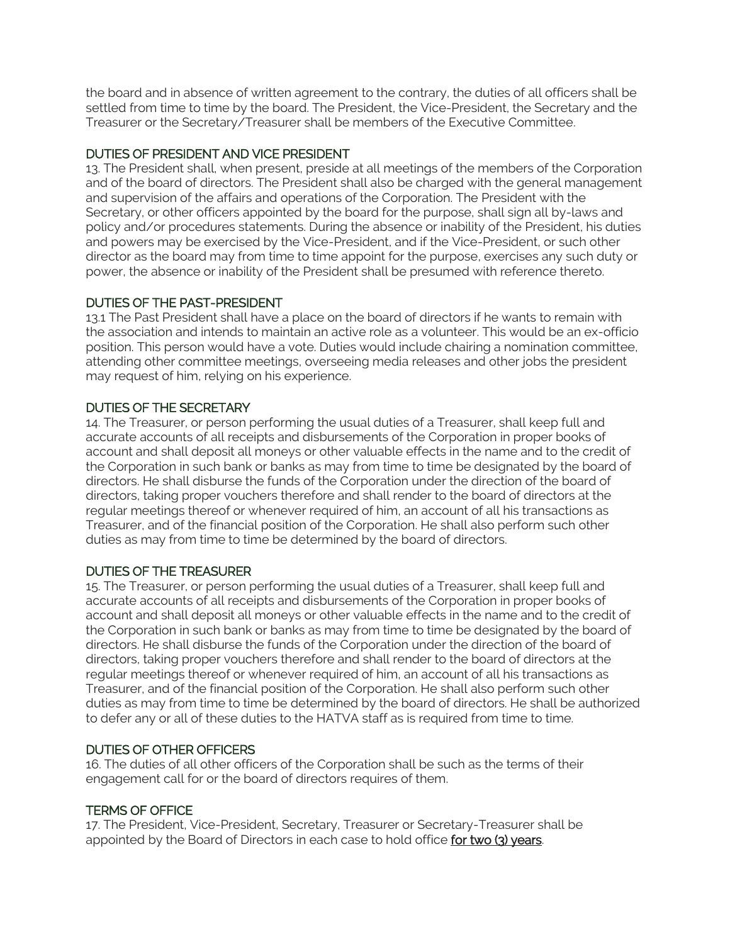the board and in absence of written agreement to the contrary, the duties of all officers shall be settled from time to time by the board. The President, the Vice-President, the Secretary and the Treasurer or the Secretary/Treasurer shall be members of the Executive Committee.

# DUTIES OF PRESIDENT AND VICE PRESIDENT

13. The President shall, when present, preside at all meetings of the members of the Corporation and of the board of directors. The President shall also be charged with the general management and supervision of the affairs and operations of the Corporation. The President with the Secretary, or other officers appointed by the board for the purpose, shall sign all by-laws and policy and/or procedures statements. During the absence or inability of the President, his duties and powers may be exercised by the Vice-President, and if the Vice-President, or such other director as the board may from time to time appoint for the purpose, exercises any such duty or power, the absence or inability of the President shall be presumed with reference thereto.

# DUTIES OF THE PAST-PRESIDENT

13.1 The Past President shall have a place on the board of directors if he wants to remain with the association and intends to maintain an active role as a volunteer. This would be an ex-officio position. This person would have a vote. Duties would include chairing a nomination committee, attending other committee meetings, overseeing media releases and other jobs the president may request of him, relying on his experience.

# DUTIES OF THE SECRETARY

14. The Treasurer, or person performing the usual duties of a Treasurer, shall keep full and accurate accounts of all receipts and disbursements of the Corporation in proper books of account and shall deposit all moneys or other valuable effects in the name and to the credit of the Corporation in such bank or banks as may from time to time be designated by the board of directors. He shall disburse the funds of the Corporation under the direction of the board of directors, taking proper vouchers therefore and shall render to the board of directors at the regular meetings thereof or whenever required of him, an account of all his transactions as Treasurer, and of the financial position of the Corporation. He shall also perform such other duties as may from time to time be determined by the board of directors.

# DUTIES OF THE TREASURER

15. The Treasurer, or person performing the usual duties of a Treasurer, shall keep full and accurate accounts of all receipts and disbursements of the Corporation in proper books of account and shall deposit all moneys or other valuable effects in the name and to the credit of the Corporation in such bank or banks as may from time to time be designated by the board of directors. He shall disburse the funds of the Corporation under the direction of the board of directors, taking proper vouchers therefore and shall render to the board of directors at the regular meetings thereof or whenever required of him, an account of all his transactions as Treasurer, and of the financial position of the Corporation. He shall also perform such other duties as may from time to time be determined by the board of directors. He shall be authorized to defer any or all of these duties to the HATVA staff as is required from time to time.

# DUTIES OF OTHER OFFICERS

16. The duties of all other officers of the Corporation shall be such as the terms of their engagement call for or the board of directors requires of them.

# TERMS OF OFFICE

17. The President, Vice-President, Secretary, Treasurer or Secretary-Treasurer shall be appointed by the Board of Directors in each case to hold office for two (3) years.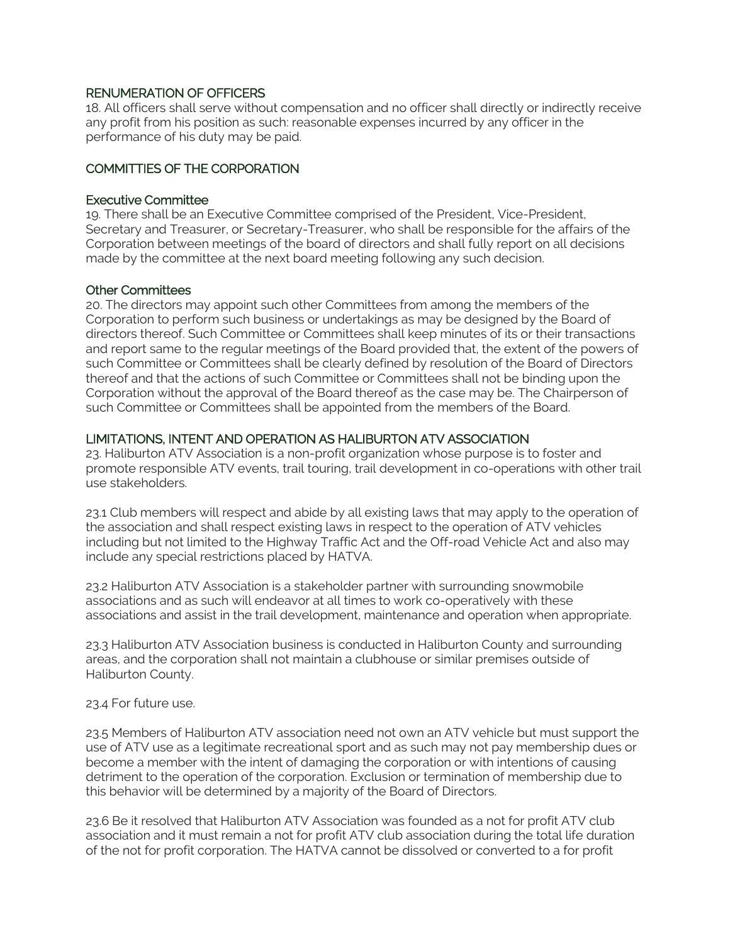## RENUMERATION OF OFFICERS

18. All officers shall serve without compensation and no officer shall directly or indirectly receive any profit from his position as such: reasonable expenses incurred by any officer in the performance of his duty may be paid.

## COMMITTIES OF THE CORPORATION

#### Executive Committee

19. There shall be an Executive Committee comprised of the President, Vice-President, Secretary and Treasurer, or Secretary-Treasurer, who shall be responsible for the affairs of the Corporation between meetings of the board of directors and shall fully report on all decisions made by the committee at the next board meeting following any such decision.

#### Other Committees

20. The directors may appoint such other Committees from among the members of the Corporation to perform such business or undertakings as may be designed by the Board of directors thereof. Such Committee or Committees shall keep minutes of its or their transactions and report same to the regular meetings of the Board provided that, the extent of the powers of such Committee or Committees shall be clearly defined by resolution of the Board of Directors thereof and that the actions of such Committee or Committees shall not be binding upon the Corporation without the approval of the Board thereof as the case may be. The Chairperson of such Committee or Committees shall be appointed from the members of the Board.

### LIMITATIONS, INTENT AND OPERATION AS HALIBURTON ATV ASSOCIATION

23. Haliburton ATV Association is a non-profit organization whose purpose is to foster and promote responsible ATV events, trail touring, trail development in co-operations with other trail use stakeholders.

23.1 Club members will respect and abide by all existing laws that may apply to the operation of the association and shall respect existing laws in respect to the operation of ATV vehicles including but not limited to the Highway Traffic Act and the Off-road Vehicle Act and also may include any special restrictions placed by HATVA.

23.2 Haliburton ATV Association is a stakeholder partner with surrounding snowmobile associations and as such will endeavor at all times to work co-operatively with these associations and assist in the trail development, maintenance and operation when appropriate.

23.3 Haliburton ATV Association business is conducted in Haliburton County and surrounding areas, and the corporation shall not maintain a clubhouse or similar premises outside of Haliburton County.

#### 23.4 For future use.

23.5 Members of Haliburton ATV association need not own an ATV vehicle but must support the use of ATV use as a legitimate recreational sport and as such may not pay membership dues or become a member with the intent of damaging the corporation or with intentions of causing detriment to the operation of the corporation. Exclusion or termination of membership due to this behavior will be determined by a majority of the Board of Directors.

23.6 Be it resolved that Haliburton ATV Association was founded as a not for profit ATV club association and it must remain a not for profit ATV club association during the total life duration of the not for profit corporation. The HATVA cannot be dissolved or converted to a for profit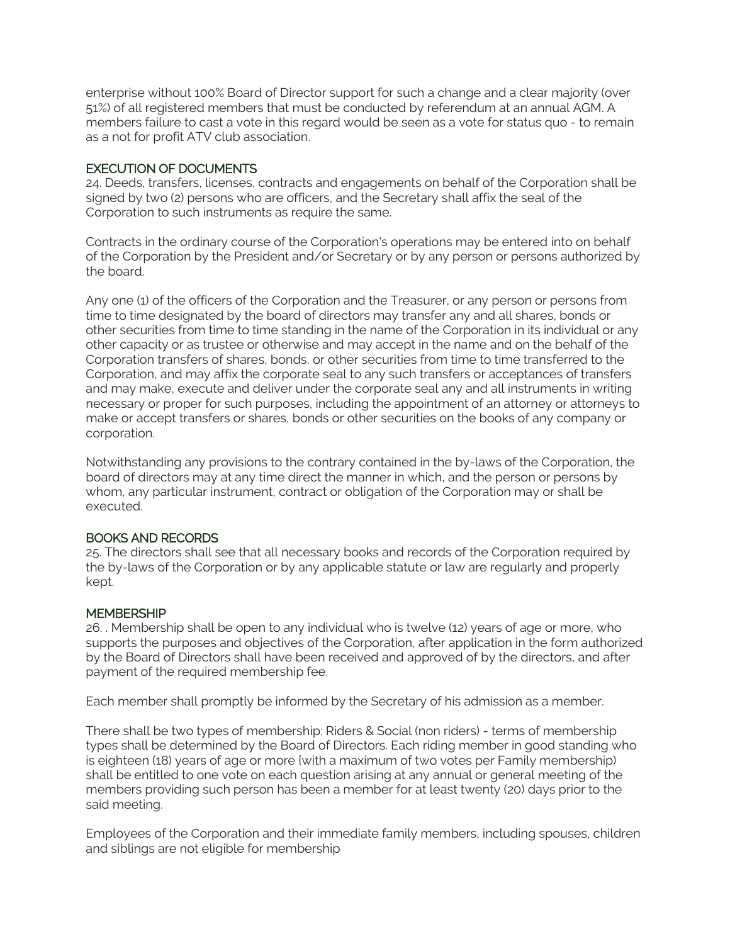enterprise without 100% Board of Director support for such a change and a clear majority (over 51%) of all registered members that must be conducted by referendum at an annual AGM. A members failure to cast a vote in this regard would be seen as a vote for status quo - to remain as a not for profit ATV club association.

## EXECUTION OF DOCUMENTS

24. Deeds, transfers, licenses, contracts and engagements on behalf of the Corporation shall be signed by two (2) persons who are officers, and the Secretary shall affix the seal of the Corporation to such instruments as require the same.

Contracts in the ordinary course of the Corporation's operations may be entered into on behalf of the Corporation by the President and/or Secretary or by any person or persons authorized by the board.

Any one (1) of the officers of the Corporation and the Treasurer, or any person or persons from time to time designated by the board of directors may transfer any and all shares, bonds or other securities from time to time standing in the name of the Corporation in its individual or any other capacity or as trustee or otherwise and may accept in the name and on the behalf of the Corporation transfers of shares, bonds, or other securities from time to time transferred to the Corporation, and may affix the corporate seal to any such transfers or acceptances of transfers and may make, execute and deliver under the corporate seal any and all instruments in writing necessary or proper for such purposes, including the appointment of an attorney or attorneys to make or accept transfers or shares, bonds or other securities on the books of any company or corporation.

Notwithstanding any provisions to the contrary contained in the by-laws of the Corporation, the board of directors may at any time direct the manner in which, and the person or persons by whom, any particular instrument, contract or obligation of the Corporation may or shall be executed.

# BOOKS AND RECORDS

25. The directors shall see that all necessary books and records of the Corporation required by the by-laws of the Corporation or by any applicable statute or law are regularly and properly kept.

#### **MEMBERSHIP**

26. . Membership shall be open to any individual who is twelve (12) years of age or more, who supports the purposes and objectives of the Corporation, after application in the form authorized by the Board of Directors shall have been received and approved of by the directors, and after payment of the required membership fee.

Each member shall promptly be informed by the Secretary of his admission as a member.

There shall be two types of membership: Riders & Social (non riders) - terms of membership types shall be determined by the Board of Directors. Each riding member in good standing who is eighteen (18) years of age or more {with a maximum of two votes per Family membership) shall be entitled to one vote on each question arising at any annual or general meeting of the members providing such person has been a member for at least twenty (20) days prior to the said meeting.

Employees of the Corporation and their immediate family members, including spouses, children and siblings are not eligible for membership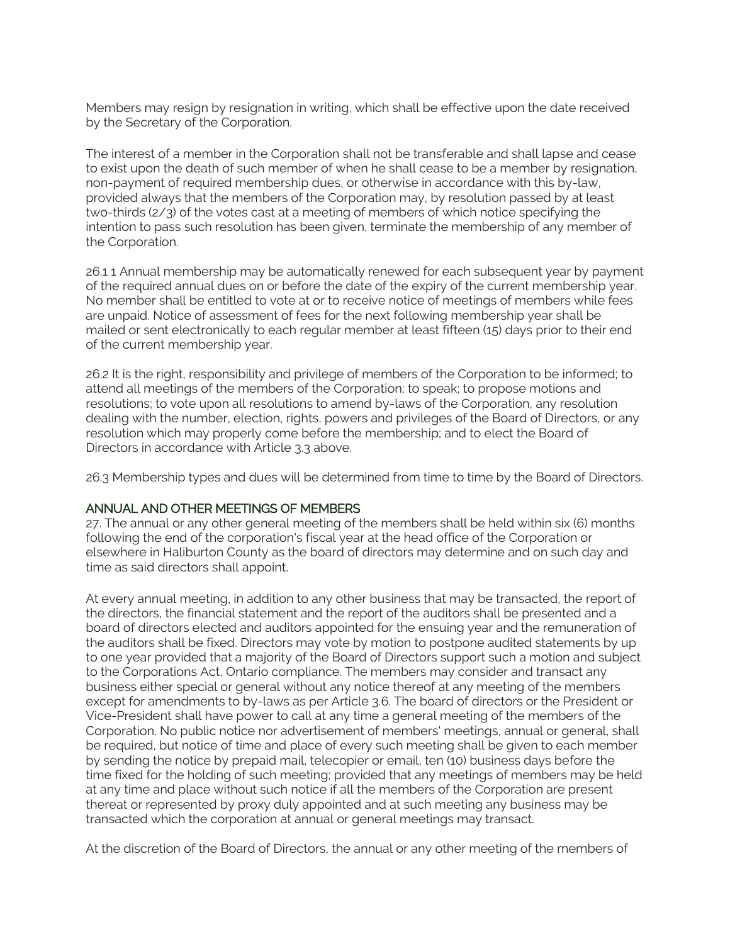Members may resign by resignation in writing, which shall be effective upon the date received by the Secretary of the Corporation.

The interest of a member in the Corporation shall not be transferable and shall lapse and cease to exist upon the death of such member of when he shall cease to be a member by resignation, non-payment of required membership dues, or otherwise in accordance with this by-law, provided always that the members of the Corporation may, by resolution passed by at least two-thirds (2/3) of the votes cast at a meeting of members of which notice specifying the intention to pass such resolution has been given, terminate the membership of any member of the Corporation.

26.1 1 Annual membership may be automatically renewed for each subsequent year by payment of the required annual dues on or before the date of the expiry of the current membership year. No member shall be entitled to vote at or to receive notice of meetings of members while fees are unpaid. Notice of assessment of fees for the next following membership year shall be mailed or sent electronically to each regular member at least fifteen (15) days prior to their end of the current membership year.

26.2 It is the right, responsibility and privilege of members of the Corporation to be informed; to attend all meetings of the members of the Corporation; to speak; to propose motions and resolutions; to vote upon all resolutions to amend by-laws of the Corporation, any resolution dealing with the number, election, rights, powers and privileges of the Board of Directors, or any resolution which may properly come before the membership; and to elect the Board of Directors in accordance with Article 3.3 above.

26.3 Membership types and dues will be determined from time to time by the Board of Directors.

#### ANNUAL AND OTHER MEETINGS OF MEMBERS

27. The annual or any other general meeting of the members shall be held within six (6) months following the end of the corporation's fiscal year at the head office of the Corporation or elsewhere in Haliburton County as the board of directors may determine and on such day and time as said directors shall appoint.

At every annual meeting, in addition to any other business that may be transacted, the report of the directors, the financial statement and the report of the auditors shall be presented and a board of directors elected and auditors appointed for the ensuing year and the remuneration of the auditors shall be fixed. Directors may vote by motion to postpone audited statements by up to one year provided that a majority of the Board of Directors support such a motion and subject to the Corporations Act, Ontario compliance. The members may consider and transact any business either special or general without any notice thereof at any meeting of the members except for amendments to by-laws as per Article 3.6. The board of directors or the President or Vice-President shall have power to call at any time a general meeting of the members of the Corporation. No public notice nor advertisement of members' meetings, annual or general, shall be required, but notice of time and place of every such meeting shall be given to each member by sending the notice by prepaid mail, telecopier or email, ten (10) business days before the time fixed for the holding of such meeting; provided that any meetings of members may be held at any time and place without such notice if all the members of the Corporation are present thereat or represented by proxy duly appointed and at such meeting any business may be transacted which the corporation at annual or general meetings may transact.

At the discretion of the Board of Directors, the annual or any other meeting of the members of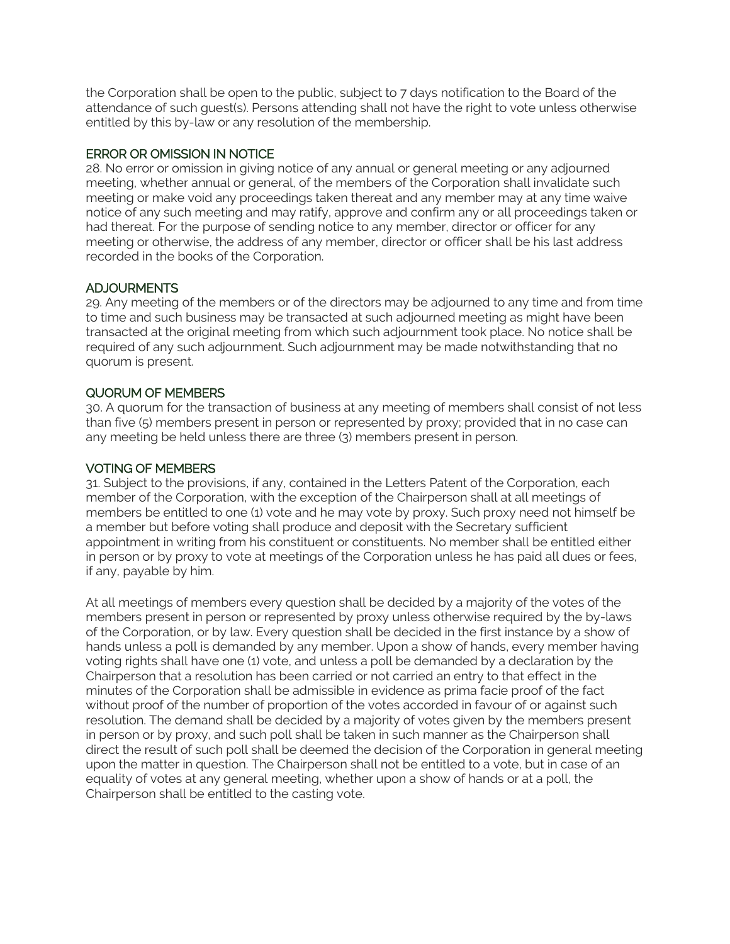the Corporation shall be open to the public, subject to 7 days notification to the Board of the attendance of such guest(s). Persons attending shall not have the right to vote unless otherwise entitled by this by-law or any resolution of the membership.

## ERROR OR OMISSION IN NOTICE

28. No error or omission in giving notice of any annual or general meeting or any adjourned meeting, whether annual or general, of the members of the Corporation shall invalidate such meeting or make void any proceedings taken thereat and any member may at any time waive notice of any such meeting and may ratify, approve and confirm any or all proceedings taken or had thereat. For the purpose of sending notice to any member, director or officer for any meeting or otherwise, the address of any member, director or officer shall be his last address recorded in the books of the Corporation.

# ADJOURMENTS

29. Any meeting of the members or of the directors may be adjourned to any time and from time to time and such business may be transacted at such adjourned meeting as might have been transacted at the original meeting from which such adjournment took place. No notice shall be required of any such adjournment. Such adjournment may be made notwithstanding that no quorum is present.

# QUORUM OF MEMBERS

30. A quorum for the transaction of business at any meeting of members shall consist of not less than five (5) members present in person or represented by proxy; provided that in no case can any meeting be held unless there are three (3) members present in person.

# VOTING OF MEMBERS

31. Subject to the provisions, if any, contained in the Letters Patent of the Corporation, each member of the Corporation, with the exception of the Chairperson shall at all meetings of members be entitled to one (1) vote and he may vote by proxy. Such proxy need not himself be a member but before voting shall produce and deposit with the Secretary sufficient appointment in writing from his constituent or constituents. No member shall be entitled either in person or by proxy to vote at meetings of the Corporation unless he has paid all dues or fees, if any, payable by him.

At all meetings of members every question shall be decided by a majority of the votes of the members present in person or represented by proxy unless otherwise required by the by-laws of the Corporation, or by law. Every question shall be decided in the first instance by a show of hands unless a poll is demanded by any member. Upon a show of hands, every member having voting rights shall have one (1) vote, and unless a poll be demanded by a declaration by the Chairperson that a resolution has been carried or not carried an entry to that effect in the minutes of the Corporation shall be admissible in evidence as prima facie proof of the fact without proof of the number of proportion of the votes accorded in favour of or against such resolution. The demand shall be decided by a majority of votes given by the members present in person or by proxy, and such poll shall be taken in such manner as the Chairperson shall direct the result of such poll shall be deemed the decision of the Corporation in general meeting upon the matter in question. The Chairperson shall not be entitled to a vote, but in case of an equality of votes at any general meeting, whether upon a show of hands or at a poll, the Chairperson shall be entitled to the casting vote.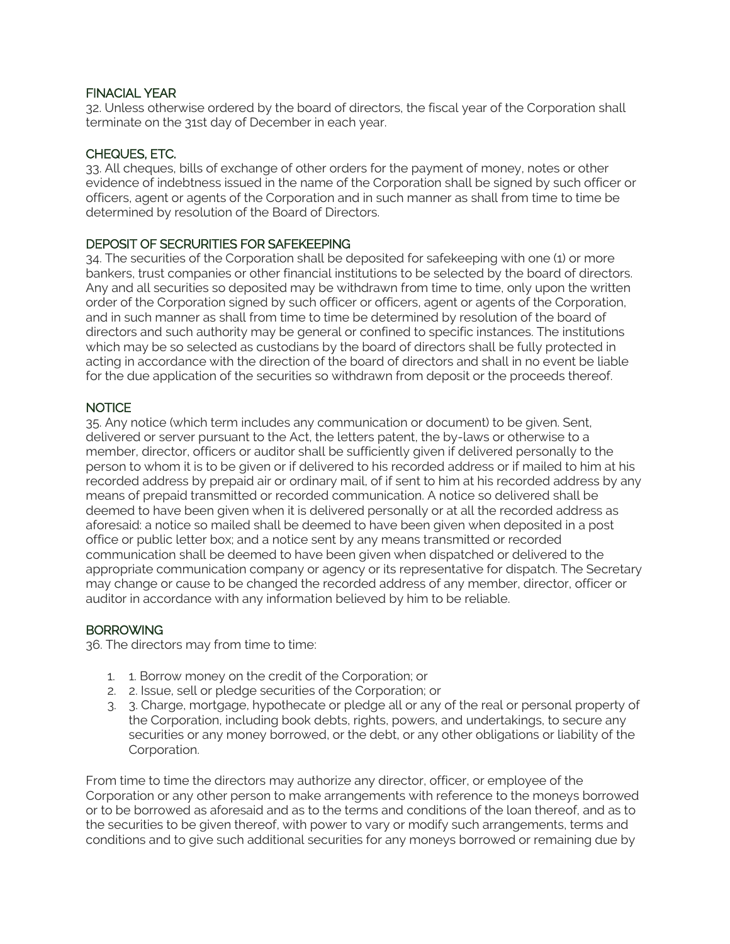## FINACIAL YEAR

32. Unless otherwise ordered by the board of directors, the fiscal year of the Corporation shall terminate on the 31st day of December in each year.

## CHEQUES, ETC.

33. All cheques, bills of exchange of other orders for the payment of money, notes or other evidence of indebtness issued in the name of the Corporation shall be signed by such officer or officers, agent or agents of the Corporation and in such manner as shall from time to time be determined by resolution of the Board of Directors.

# DEPOSIT OF SECRURITIES FOR SAFEKEEPING

34. The securities of the Corporation shall be deposited for safekeeping with one (1) or more bankers, trust companies or other financial institutions to be selected by the board of directors. Any and all securities so deposited may be withdrawn from time to time, only upon the written order of the Corporation signed by such officer or officers, agent or agents of the Corporation, and in such manner as shall from time to time be determined by resolution of the board of directors and such authority may be general or confined to specific instances. The institutions which may be so selected as custodians by the board of directors shall be fully protected in acting in accordance with the direction of the board of directors and shall in no event be liable for the due application of the securities so withdrawn from deposit or the proceeds thereof.

### **NOTICE**

35. Any notice (which term includes any communication or document) to be given. Sent, delivered or server pursuant to the Act, the letters patent, the by-laws or otherwise to a member, director, officers or auditor shall be sufficiently given if delivered personally to the person to whom it is to be given or if delivered to his recorded address or if mailed to him at his recorded address by prepaid air or ordinary mail, of if sent to him at his recorded address by any means of prepaid transmitted or recorded communication. A notice so delivered shall be deemed to have been given when it is delivered personally or at all the recorded address as aforesaid: a notice so mailed shall be deemed to have been given when deposited in a post office or public letter box; and a notice sent by any means transmitted or recorded communication shall be deemed to have been given when dispatched or delivered to the appropriate communication company or agency or its representative for dispatch. The Secretary may change or cause to be changed the recorded address of any member, director, officer or auditor in accordance with any information believed by him to be reliable.

#### **BORROWING**

36. The directors may from time to time:

- 1. 1. Borrow money on the credit of the Corporation; or
- 2. 2. Issue, sell or pledge securities of the Corporation; or
- 3. 3. Charge, mortgage, hypothecate or pledge all or any of the real or personal property of the Corporation, including book debts, rights, powers, and undertakings, to secure any securities or any money borrowed, or the debt, or any other obligations or liability of the Corporation.

From time to time the directors may authorize any director, officer, or employee of the Corporation or any other person to make arrangements with reference to the moneys borrowed or to be borrowed as aforesaid and as to the terms and conditions of the loan thereof, and as to the securities to be given thereof, with power to vary or modify such arrangements, terms and conditions and to give such additional securities for any moneys borrowed or remaining due by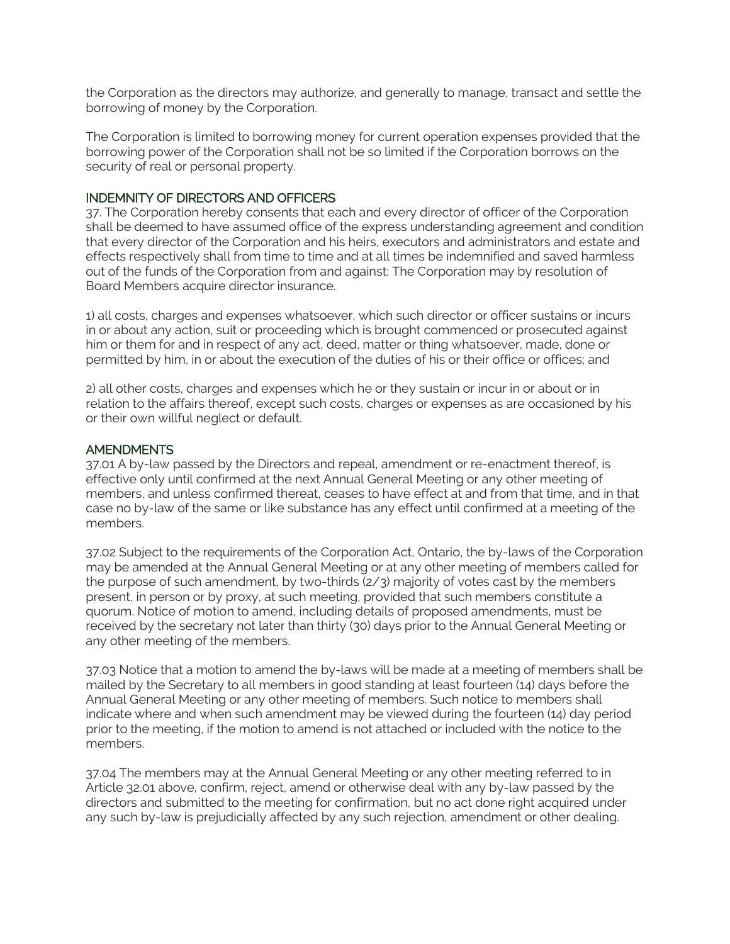the Corporation as the directors may authorize, and generally to manage, transact and settle the borrowing of money by the Corporation.

The Corporation is limited to borrowing money for current operation expenses provided that the borrowing power of the Corporation shall not be so limited if the Corporation borrows on the security of real or personal property.

#### INDEMNITY OF DIRECTORS AND OFFICERS

37. The Corporation hereby consents that each and every director of officer of the Corporation shall be deemed to have assumed office of the express understanding agreement and condition that every director of the Corporation and his heirs, executors and administrators and estate and effects respectively shall from time to time and at all times be indemnified and saved harmless out of the funds of the Corporation from and against: The Corporation may by resolution of Board Members acquire director insurance.

1) all costs, charges and expenses whatsoever, which such director or officer sustains or incurs in or about any action, suit or proceeding which is brought commenced or prosecuted against him or them for and in respect of any act, deed, matter or thing whatsoever, made, done or permitted by him, in or about the execution of the duties of his or their office or offices; and

2) all other costs, charges and expenses which he or they sustain or incur in or about or in relation to the affairs thereof, except such costs, charges or expenses as are occasioned by his or their own willful neglect or default.

#### **AMENDMENTS**

37.01 A by-law passed by the Directors and repeal, amendment or re-enactment thereof, is effective only until confirmed at the next Annual General Meeting or any other meeting of members, and unless confirmed thereat, ceases to have effect at and from that time, and in that case no by-law of the same or like substance has any effect until confirmed at a meeting of the members.

37.02 Subject to the requirements of the Corporation Act, Ontario, the by-laws of the Corporation may be amended at the Annual General Meeting or at any other meeting of members called for the purpose of such amendment, by two-thirds (2/3) majority of votes cast by the members present, in person or by proxy, at such meeting, provided that such members constitute a quorum. Notice of motion to amend, including details of proposed amendments, must be received by the secretary not later than thirty (30) days prior to the Annual General Meeting or any other meeting of the members.

37.03 Notice that a motion to amend the by-laws will be made at a meeting of members shall be mailed by the Secretary to all members in good standing at least fourteen (14) days before the Annual General Meeting or any other meeting of members. Such notice to members shall indicate where and when such amendment may be viewed during the fourteen (14) day period prior to the meeting, if the motion to amend is not attached or included with the notice to the members.

37.04 The members may at the Annual General Meeting or any other meeting referred to in Article 32.01 above, confirm, reject, amend or otherwise deal with any by-law passed by the directors and submitted to the meeting for confirmation, but no act done right acquired under any such by-law is prejudicially affected by any such rejection, amendment or other dealing.